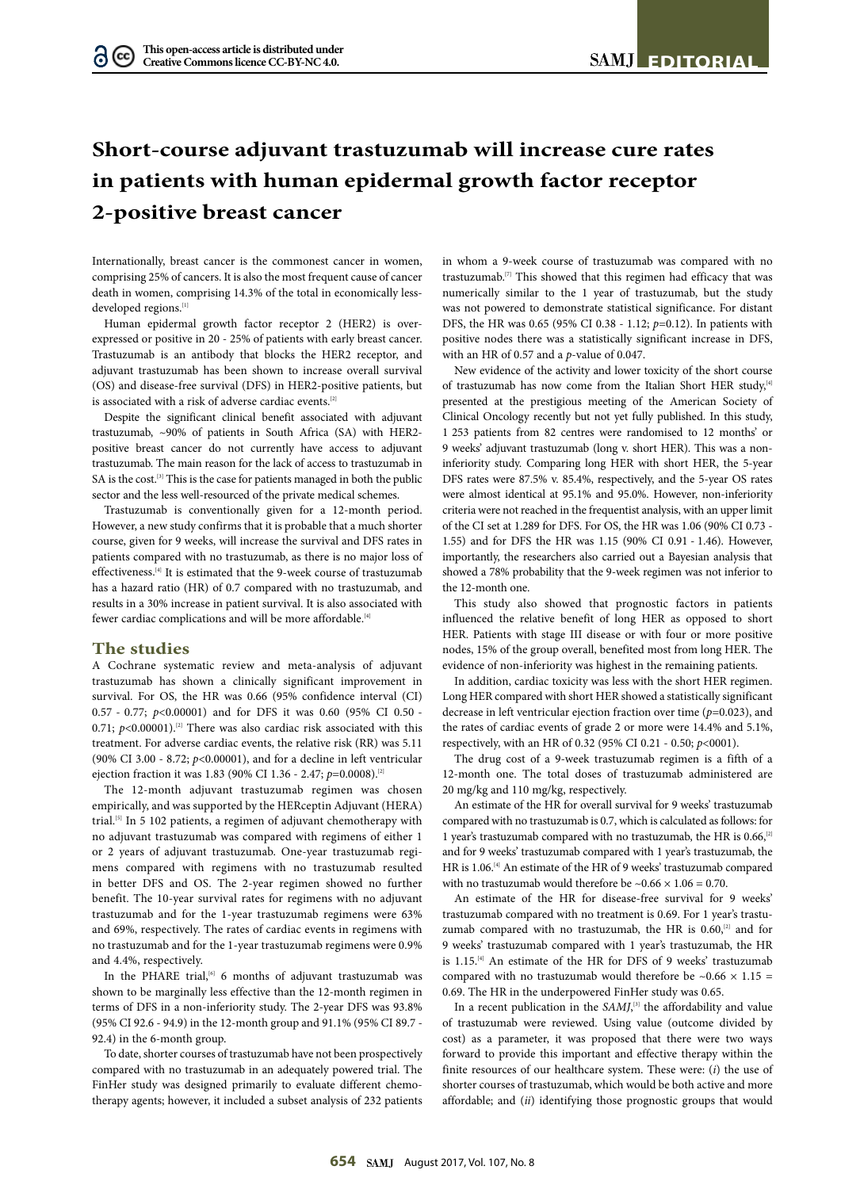## **Short-course adjuvant trastuzumab will increase cure rates in patients with human epidermal growth factor receptor 2-positive breast cancer**

Internationally, breast cancer is the commonest cancer in women, comprising 25% of cancers. It is also the most frequent cause of cancer death in women, comprising 14.3% of the total in economically lessdeveloped regions.<sup>[1]</sup>

Human epidermal growth factor receptor 2 (HER2) is overexpressed or positive in 20 - 25% of patients with early breast cancer. Trastuzumab is an antibody that blocks the HER2 receptor, and adjuvant trastuzumab has been shown to increase overall survival (OS) and disease-free survival (DFS) in HER2-positive patients, but is associated with a risk of adverse cardiac events.  $^{\scriptscriptstyle [2]}$ 

Despite the significant clinical benefit associated with adjuvant trastuzumab, ~90% of patients in South Africa (SA) with HER2 positive breast cancer do not currently have access to adjuvant trastuzumab. The main reason for the lack of access to trastuzumab in SA is the cost.<sup>[3]</sup> This is the case for patients managed in both the public sector and the less well-resourced of the private medical schemes.

Trastuzumab is conventionally given for a 12-month period. However, a new study confirms that it is probable that a much shorter course, given for 9 weeks, will increase the survival and DFS rates in patients compared with no trastuzumab, as there is no major loss of effectiveness.[4] It is estimated that the 9-week course of trastuzumab has a hazard ratio (HR) of 0.7 compared with no trastuzumab, and results in a 30% increase in patient survival. It is also associated with fewer cardiac complications and will be more affordable.<sup>[4]</sup>

## **The studies**

A Cochrane systematic review and meta-analysis of adjuvant trastuzumab has shown a clinically significant improvement in survival. For OS, the HR was 0.66 (95% confidence interval (CI) 0.57 - 0.77; *p*<0.00001) and for DFS it was 0.60 (95% CI 0.50 - 0.71;  $p$ <0.00001).<sup>[2]</sup> There was also cardiac risk associated with this treatment. For adverse cardiac events, the relative risk (RR) was 5.11 (90% CI 3.00 - 8.72; *p*<0.00001), and for a decline in left ventricular ejection fraction it was 1.83 (90% CI 1.36 - 2.47; *p*=0.0008).[2]

The 12-month adjuvant trastuzumab regimen was chosen empirically, and was supported by the HERceptin Adjuvant (HERA) trial.[5] In 5 102 patients, a regimen of adjuvant chemotherapy with no adjuvant trastuzumab was compared with regimens of either 1 or 2 years of adjuvant trastuzumab. One-year trastuzumab regimens compared with regimens with no trastuzumab resulted in better DFS and OS. The 2-year regimen showed no further benefit. The 10-year survival rates for regimens with no adjuvant trastuzumab and for the 1-year trastuzumab regimens were 63% and 69%, respectively. The rates of cardiac events in regimens with no trastuzumab and for the 1-year trastuzumab regimens were 0.9% and 4.4%, respectively.

In the PHARE trial,<sup>[6]</sup> 6 months of adjuvant trastuzumab was shown to be marginally less effective than the 12-month regimen in terms of DFS in a non-inferiority study. The 2-year DFS was 93.8% (95% CI 92.6 - 94.9) in the 12-month group and 91.1% (95% CI 89.7 - 92.4) in the 6-month group.

To date, shorter courses of trastuzumab have not been prospectively compared with no trastuzumab in an adequately powered trial. The FinHer study was designed primarily to evaluate different chemotherapy agents; however, it included a subset analysis of 232 patients in whom a 9-week course of trastuzumab was compared with no trastuzumab.[7] This showed that this regimen had efficacy that was numerically similar to the 1 year of trastuzumab, but the study was not powered to demonstrate statistical significance. For distant DFS, the HR was 0.65 (95% CI 0.38 - 1.12; *p*=0.12). In patients with positive nodes there was a statistically significant increase in DFS, with an HR of 0.57 and a *p*-value of 0.047.

New evidence of the activity and lower toxicity of the short course of trastuzumab has now come from the Italian Short HER study,<sup>[4]</sup> presented at the prestigious meeting of the American Society of Clinical Oncology recently but not yet fully published. In this study, 1 253 patients from 82 centres were randomised to 12 months' or 9 weeks' adjuvant trastuzumab (long v. short HER). This was a noninferiority study. Comparing long HER with short HER, the 5-year DFS rates were 87.5% v. 85.4%, respectively, and the 5-year OS rates were almost identical at 95.1% and 95.0%. However, non-inferiority criteria were not reached in the frequentist analysis, with an upper limit of the CI set at 1.289 for DFS. For OS, the HR was 1.06 (90% CI 0.73 - 1.55) and for DFS the HR was 1.15 (90% CI 0.91 - 1.46). However, importantly, the researchers also carried out a Bayesian analysis that showed a 78% probability that the 9-week regimen was not inferior to the 12-month one.

This study also showed that prognostic factors in patients influenced the relative benefit of long HER as opposed to short HER. Patients with stage III disease or with four or more positive nodes, 15% of the group overall, benefited most from long HER. The evidence of non-inferiority was highest in the remaining patients.

In addition, cardiac toxicity was less with the short HER regimen. Long HER compared with short HER showed a statistically significant decrease in left ventricular ejection fraction over time (*p*=0.023), and the rates of cardiac events of grade 2 or more were 14.4% and 5.1%, respectively, with an HR of 0.32 (95% CI 0.21 - 0.50; *p*<0001).

The drug cost of a 9-week trastuzumab regimen is a fifth of a 12-month one. The total doses of trastuzumab administered are 20 mg/kg and 110 mg/kg, respectively.

An estimate of the HR for overall survival for 9 weeks' trastuzumab compared with no trastuzumab is 0.7, which is calculated as follows: for 1 year's trastuzumab compared with no trastuzumab, the HR is 0.66,<sup>[2]</sup> and for 9 weeks' trastuzumab compared with 1 year's trastuzumab, the HR is 1.06.[4] An estimate of the HR of 9 weeks' trastuzumab compared with no trastuzumab would therefore be  $\sim 0.66 \times 1.06 = 0.70$ .

An estimate of the HR for disease-free survival for 9 weeks' trastuzumab compared with no treatment is 0.69. For 1 year's trastuzumab compared with no trastuzumab, the HR is 0.60,<sup>[2]</sup> and for 9 weeks' trastuzumab compared with 1 year's trastuzumab, the HR is 1.15.<sup>[4]</sup> An estimate of the HR for DFS of 9 weeks' trastuzumab compared with no trastuzumab would therefore be  $\sim 0.66 \times 1.15 =$ 0.69. The HR in the underpowered FinHer study was 0.65.

In a recent publication in the *SAMJ*,<sup>[3]</sup> the affordability and value of trastuzumab were reviewed. Using value (outcome divided by cost) as a parameter, it was proposed that there were two ways forward to provide this important and effective therapy within the finite resources of our healthcare system. These were: (*i*) the use of shorter courses of trastuzumab, which would be both active and more affordable; and (*ii*) identifying those prognostic groups that would